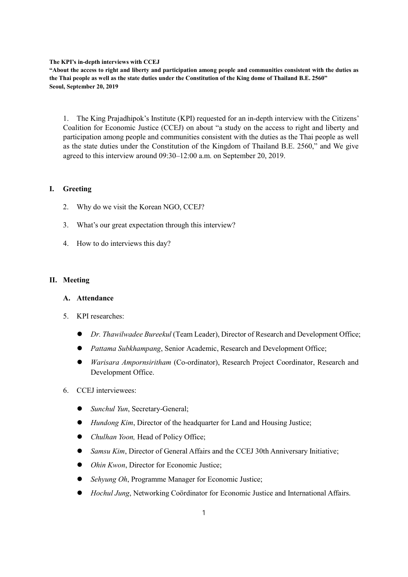The KPI's in-depth interviews with CCEJ

"About the access to right and liberty and participation among people and communities consistent with the duties as the Thai people as well as the state duties under the Constitution of the King dome of Thailand B.E. 2560" Seoul, September 20, 2019

1. The King Prajadhipok's Institute (KPI) requested for an in-depth interview with the Citizens' Coalition for Economic Justice (CCEJ) on about "a study on the access to right and liberty and participation among people and communities consistent with the duties as the Thai people as well as the state duties under the Constitution of the Kingdom of Thailand B.E. 2560," and We give agreed to this interview around 09:30–12:00 a.m. on September 20, 2019.

### I. Greeting

- 2. Why do we visit the Korean NGO, CCEJ?
- 3. What's our great expectation through this interview?
- 4. How to do interviews this day?

#### II. Meeting

#### A. Attendance

- 5. KPI researches:
	- Dr. Thawilwadee Bureekul (Team Leader), Director of Research and Development Office;
	- Pattama Subkhampang, Senior Academic, Research and Development Office;
	- Warisara Ampornsiritham (Co-ordinator), Research Project Coordinator, Research and Development Office.
- 6. CCEJ interviewees:
	- Sunchul Yun, Secretary-General;
	- Hundong Kim, Director of the headquarter for Land and Housing Justice;
	- Chulhan Yoon, Head of Policy Office;
	- Samsu Kim, Director of General Affairs and the CCEJ 30th Anniversary Initiative;
	- *Ohin Kwon*, Director for Economic Justice;
	- Sehyung Oh, Programme Manager for Economic Justice;
	- Hochul Jung, Networking Coördinator for Economic Justice and International Affairs.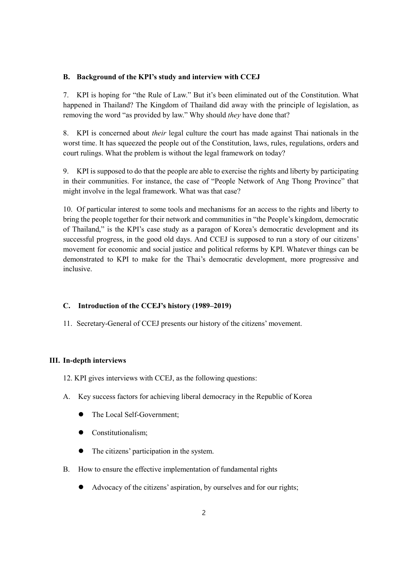#### B. Background of the KPI's study and interview with CCEJ

7. KPI is hoping for "the Rule of Law." But it's been eliminated out of the Constitution. What happened in Thailand? The Kingdom of Thailand did away with the principle of legislation, as removing the word "as provided by law." Why should they have done that?

8. KPI is concerned about their legal culture the court has made against Thai nationals in the worst time. It has squeezed the people out of the Constitution, laws, rules, regulations, orders and court rulings. What the problem is without the legal framework on today?

9. KPI is supposed to do that the people are able to exercise the rights and liberty by participating in their communities. For instance, the case of "People Network of Ang Thong Province" that might involve in the legal framework. What was that case?

10. Of particular interest to some tools and mechanisms for an access to the rights and liberty to bring the people together for their network and communities in "the People's kingdom, democratic of Thailand," is the KPI's case study as a paragon of Korea's democratic development and its successful progress, in the good old days. And CCEJ is supposed to run a story of our citizens' movement for economic and social justice and political reforms by KPI. Whatever things can be demonstrated to KPI to make for the Thai's democratic development, more progressive and inclusive.

#### C. Introduction of the CCEJ's history (1989–2019)

11. Secretary-General of CCEJ presents our history of the citizens' movement.

### III. In-depth interviews

- 12. KPI gives interviews with CCEJ, as the following questions:
- A. Key success factors for achieving liberal democracy in the Republic of Korea
	- The Local Self-Government;
	- Constitutionalism;
	- The citizens' participation in the system.
- B. How to ensure the effective implementation of fundamental rights
	- Advocacy of the citizens' aspiration, by ourselves and for our rights;